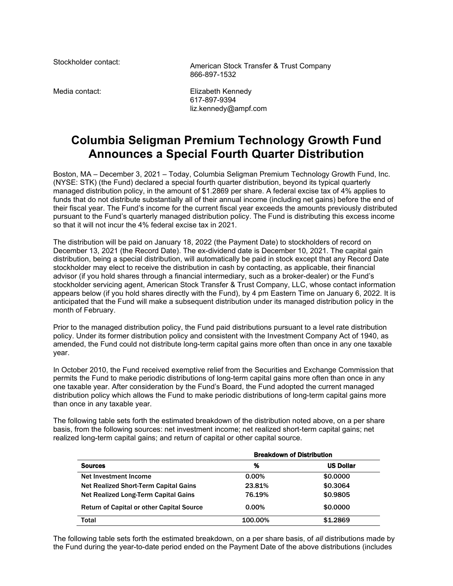Stockholder contact: American Stock Transfer & Trust Company 866-897-1532

Media contact: Elizabeth Kennedy 617-897-9394 liz.kennedy@ampf.com

## **Columbia Seligman Premium Technology Growth Fund Announces a Special Fourth Quarter Distribution**

Boston, MA – December 3, 2021 – Today, Columbia Seligman Premium Technology Growth Fund, Inc. (NYSE: STK) (the Fund) declared a special fourth quarter distribution, beyond its typical quarterly managed distribution policy, in the amount of \$1.2869 per share. A federal excise tax of 4% applies to funds that do not distribute substantially all of their annual income (including net gains) before the end of their fiscal year. The Fund's income for the current fiscal year exceeds the amounts previously distributed pursuant to the Fund's quarterly managed distribution policy. The Fund is distributing this excess income so that it will not incur the 4% federal excise tax in 2021.

The distribution will be paid on January 18, 2022 (the Payment Date) to stockholders of record on December 13, 2021 (the Record Date). The ex-dividend date is December 10, 2021. The capital gain distribution, being a special distribution, will automatically be paid in stock except that any Record Date stockholder may elect to receive the distribution in cash by contacting, as applicable, their financial advisor (if you hold shares through a financial intermediary, such as a broker-dealer) or the Fund's stockholder servicing agent, American Stock Transfer & Trust Company, LLC, whose contact information appears below (if you hold shares directly with the Fund), by 4 pm Eastern Time on January 6, 2022. It is anticipated that the Fund will make a subsequent distribution under its managed distribution policy in the month of February.

Prior to the managed distribution policy, the Fund paid distributions pursuant to a level rate distribution policy. Under its former distribution policy and consistent with the Investment Company Act of 1940, as amended, the Fund could not distribute long-term capital gains more often than once in any one taxable year.

In October 2010, the Fund received exemptive relief from the Securities and Exchange Commission that permits the Fund to make periodic distributions of long-term capital gains more often than once in any one taxable year. After consideration by the Fund's Board, the Fund adopted the current managed distribution policy which allows the Fund to make periodic distributions of long-term capital gains more than once in any taxable year.

The following table sets forth the estimated breakdown of the distribution noted above, on a per share basis, from the following sources: net investment income; net realized short-term capital gains; net realized long-term capital gains; and return of capital or other capital source.

|                                                  | <b>Breakdown of Distribution</b> |                  |
|--------------------------------------------------|----------------------------------|------------------|
| <b>Sources</b>                                   | %                                | <b>US Dollar</b> |
| Net Investment Income                            | $0.00\%$                         | \$0,0000         |
| Net Realized Short-Term Capital Gains            | 23.81%                           | \$0,3064         |
| Net Realized Long-Term Capital Gains             | 76.19%                           | \$0,9805         |
| <b>Return of Capital or other Capital Source</b> | $0.00\%$                         | \$0,0000         |
| Total                                            | 100.00%                          | \$1.2869         |

The following table sets forth the estimated breakdown, on a per share basis, of *all* distributions made by the Fund during the year-to-date period ended on the Payment Date of the above distributions (includes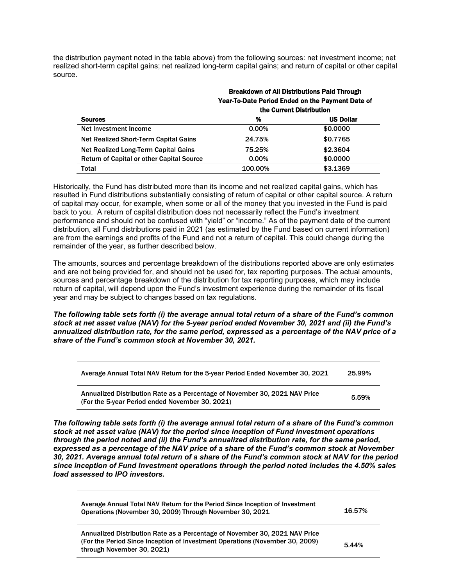the distribution payment noted in the table above) from the following sources: net investment income; net realized short-term capital gains; net realized long-term capital gains; and return of capital or other capital source.

|                                                  | <b>Breakdown of All Distributions Paid Through</b><br>Year-To-Date Perlod Ended on the Payment Date of<br>the Current Distribution |                  |
|--------------------------------------------------|------------------------------------------------------------------------------------------------------------------------------------|------------------|
| <b>Sources</b>                                   | %                                                                                                                                  | <b>US Dollar</b> |
| Net Investment Income                            | 0.00%                                                                                                                              | \$0.0000         |
| Net Realized Short-Term Capital Gains            | 24.75%                                                                                                                             | \$0.7765         |
| Net Realized Long-Term Capital Gains             | 75.25%                                                                                                                             | \$2,3604         |
| <b>Return of Capital or other Capital Source</b> | 0.00%                                                                                                                              | \$0,0000         |
| Total                                            | 100.00%                                                                                                                            | \$3.1369         |

Historically, the Fund has distributed more than its income and net realized capital gains, which has resulted in Fund distributions substantially consisting of return of capital or other capital source. A return of capital may occur, for example, when some or all of the money that you invested in the Fund is paid back to you. A return of capital distribution does not necessarily reflect the Fund's investment performance and should not be confused with "yield" or "income." As of the payment date of the current distribution, all Fund distributions paid in 2021 (as estimated by the Fund based on current information) are from the earnings and profits of the Fund and not a return of capital. This could change during the remainder of the year, as further described below.

The amounts, sources and percentage breakdown of the distributions reported above are only estimates and are not being provided for, and should not be used for, tax reporting purposes. The actual amounts, sources and percentage breakdown of the distribution for tax reporting purposes, which may include return of capital, will depend upon the Fund's investment experience during the remainder of its fiscal year and may be subject to changes based on tax regulations.

*The following table sets forth (i) the average annual total return of a share of the Fund's common stock at net asset value (NAV) for the 5-year period ended November 30, 2021 and (ii) the Fund's annualized distribution rate, for the same period, expressed as a percentage of the NAV price of a share of the Fund's common stock at November 30, 2021.* 

| Average Annual Total NAV Return for the 5-year Period Ended November 30, 2021                                                  | 25.99% |
|--------------------------------------------------------------------------------------------------------------------------------|--------|
| Annualized Distribution Rate as a Percentage of November 30, 2021 NAV Price<br>(For the 5-year Period ended November 30, 2021) | 5.59%  |

*The following table sets forth (i) the average annual total return of a share of the Fund's common stock at net asset value (NAV) for the period since inception of Fund investment operations through the period noted and (ii) the Fund's annualized distribution rate, for the same period, expressed as a percentage of the NAV price of a share of the Fund's common stock at November 30, 2021. Average annual total return of a share of the Fund's common stock at NAV for the period since inception of Fund Investment operations through the period noted includes the 4.50% sales load assessed to IPO investors.*

| Average Annual Total NAV Return for the Period Since Inception of Investment<br>Operations (November 30, 2009) Through November 30, 2021                                                  | 16.57% |
|-------------------------------------------------------------------------------------------------------------------------------------------------------------------------------------------|--------|
| Annualized Distribution Rate as a Percentage of November 30, 2021 NAV Price<br>(For the Period Since Inception of Investment Operations (November 30, 2009)<br>through November 30, 2021) | 5.44%  |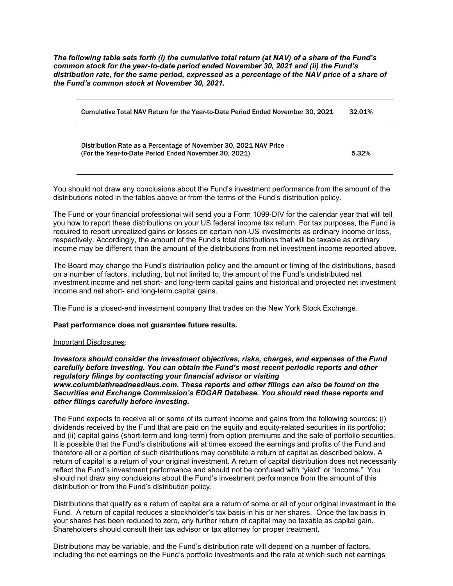*The following table sets forth (i) the cumulative total return (at NAV) of a share of the Fund's common stock for the year-to-date period ended November 30, 2021 and (ii) the Fund's distribution rate, for the same period, expressed as a percentage of the NAV price of a share of the Fund's common stock at November 30, 2021.*

| Cumulative Total NAV Return for the Year-to-Date Period Ended November 30, 2021                                           | 32.01% |
|---------------------------------------------------------------------------------------------------------------------------|--------|
| Distribution Rate as a Percentage of November 30, 2021 NAV Price<br>(For the Year-to-Date Period Ended November 30, 2021) | 5.32%  |

You should not draw any conclusions about the Fund's investment performance from the amount of the distributions noted in the tables above or from the terms of the Fund's distribution policy.

The Fund or your financial professional will send you a Form 1099-DIV for the calendar year that will tell you how to report these distributions on your US federal income tax return. For tax purposes, the Fund is required to report unrealized gains or losses on certain non-US investments as ordinary income or loss, respectively. Accordingly, the amount of the Fund's total distributions that will be taxable as ordinary income may be different than the amount of the distributions from net investment income reported above.

The Board may change the Fund's distribution policy and the amount or timing of the distributions, based on a number of factors, including, but not limited to, the amount of the Fund's undistributed net investment income and net short- and long-term capital gains and historical and projected net investment income and net short- and long-term capital gains.

The Fund is a closed-end investment company that trades on the New York Stock Exchange.

## **Past performance does not guarantee future results.**

## Important Disclosures:

*Investors should consider the investment objectives, risks, charges, and expenses of the Fund carefully before investing. You can obtain the Fund's most recent periodic reports and other regulatory filings by contacting your financial advisor or visiting www.columbiathreadneedleus.com. These reports and other filings can also be found on the Securities and Exchange Commission's EDGAR Database. You should read these reports and other filings carefully before investing.*

The Fund expects to receive all or some of its current income and gains from the following sources: (i) dividends received by the Fund that are paid on the equity and equity-related securities in its portfolio; and (ii) capital gains (short-term and long-term) from option premiums and the sale of portfolio securities. It is possible that the Fund's distributions will at times exceed the earnings and profits of the Fund and therefore all or a portion of such distributions may constitute a return of capital as described below. A return of capital is a return of your original investment. A return of capital distribution does not necessarily reflect the Fund's investment performance and should not be confused with "yield" or "income." You should not draw any conclusions about the Fund's investment performance from the amount of this distribution or from the Fund's distribution policy.

Distributions that qualify as a return of capital are a return of some or all of your original investment in the Fund. A return of capital reduces a stockholder's tax basis in his or her shares. Once the tax basis in your shares has been reduced to zero, any further return of capital may be taxable as capital gain. Shareholders should consult their tax advisor or tax attorney for proper treatment.

Distributions may be variable, and the Fund's distribution rate will depend on a number of factors, including the net earnings on the Fund's portfolio investments and the rate at which such net earnings